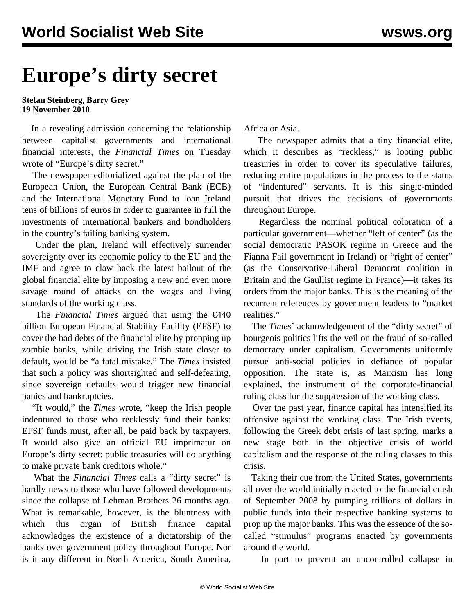## **Europe's dirty secret**

**Stefan Steinberg, Barry Grey 19 November 2010**

 In a revealing admission concerning the relationship between capitalist governments and international financial interests, the *Financial Times* on Tuesday wrote of "Europe's dirty secret."

 The newspaper editorialized against the plan of the European Union, the European Central Bank (ECB) and the International Monetary Fund to loan Ireland tens of billions of euros in order to guarantee in full the investments of international bankers and bondholders in the country's failing banking system.

 Under the plan, Ireland will effectively surrender sovereignty over its economic policy to the EU and the IMF and agree to claw back the latest bailout of the global financial elite by imposing a new and even more savage round of attacks on the wages and living standards of the working class.

 The *Financial Times* argued that using the €440 billion European Financial Stability Facility (EFSF) to cover the bad debts of the financial elite by propping up zombie banks, while driving the Irish state closer to default, would be "a fatal mistake." The *Times* insisted that such a policy was shortsighted and self-defeating, since sovereign defaults would trigger new financial panics and bankruptcies.

 "It would," the *Times* wrote, "keep the Irish people indentured to those who recklessly fund their banks: EFSF funds must, after all, be paid back by taxpayers. It would also give an official EU imprimatur on Europe's dirty secret: public treasuries will do anything to make private bank creditors whole."

 What the *Financial Times* calls a "dirty secret" is hardly news to those who have followed developments since the collapse of Lehman Brothers 26 months ago. What is remarkable, however, is the bluntness with which this organ of British finance capital acknowledges the existence of a dictatorship of the banks over government policy throughout Europe. Nor is it any different in North America, South America,

Africa or Asia.

 The newspaper admits that a tiny financial elite, which it describes as "reckless," is looting public treasuries in order to cover its speculative failures, reducing entire populations in the process to the status of "indentured" servants. It is this single-minded pursuit that drives the decisions of governments throughout Europe.

 Regardless the nominal political coloration of a particular government—whether "left of center" (as the social democratic PASOK regime in Greece and the Fianna Fail government in Ireland) or "right of center" (as the Conservative-Liberal Democrat coalition in Britain and the Gaullist regime in France)—it takes its orders from the major banks. This is the meaning of the recurrent references by government leaders to "market realities."

 The *Times*' acknowledgement of the "dirty secret" of bourgeois politics lifts the veil on the fraud of so-called democracy under capitalism. Governments uniformly pursue anti-social policies in defiance of popular opposition. The state is, as Marxism has long explained, the instrument of the corporate-financial ruling class for the suppression of the working class.

 Over the past year, finance capital has intensified its offensive against the working class. The Irish events, following the Greek debt crisis of last spring, marks a new stage both in the objective crisis of world capitalism and the response of the ruling classes to this crisis.

 Taking their cue from the United States, governments all over the world initially reacted to the financial crash of September 2008 by pumping trillions of dollars in public funds into their respective banking systems to prop up the major banks. This was the essence of the socalled "stimulus" programs enacted by governments around the world.

In part to prevent an uncontrolled collapse in